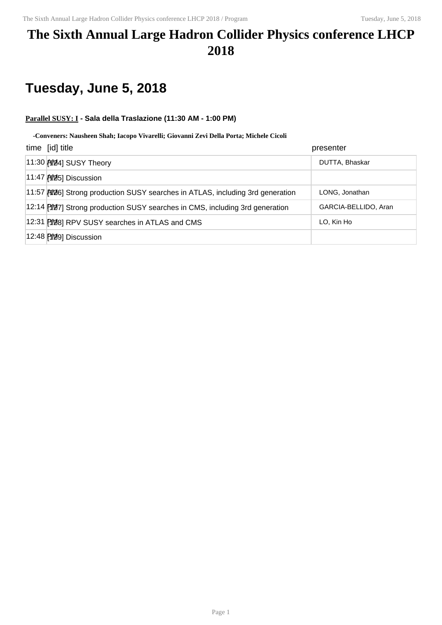## **The Sixth Annual Large Hadron Collider Physics conference LHCP 2018**

# **Tuesday, June 5, 2018**

### **Parallel SUSY: I - Sala della Traslazione (11:30 AM - 1:00 PM)**

#### **-Conveners: Nausheen Shah; Iacopo Vivarelli; Giovanni Zevi Della Porta; Michele Cicoli**

| time [id] title                                                                | presenter            |
|--------------------------------------------------------------------------------|----------------------|
| 11:30 AM4] SUSY Theory                                                         | DUTTA, Bhaskar       |
|                                                                                |                      |
| 11:57 [126] Strong production SUSY searches in ATLAS, including 3rd generation | LONG, Jonathan       |
| 12:14 [107] Strong production SUSY searches in CMS, including 3rd generation   | GARCIA-BELLIDO, Aran |
| 12:31 PM8] RPV SUSY searches in ATLAS and CMS                                  | LO, Kin Ho           |
| 12:48 [2019] Discussion                                                        |                      |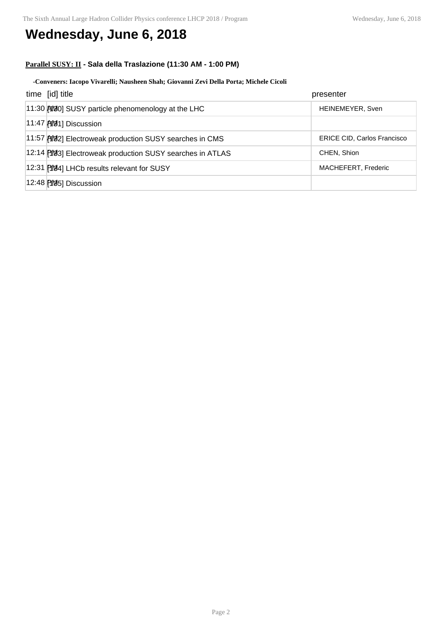## **Wednesday, June 6, 2018**

### **Parallel SUSY: II - Sala della Traslazione (11:30 AM - 1:00 PM)**

#### **-Conveners: Iacopo Vivarelli; Nausheen Shah; Giovanni Zevi Della Porta; Michele Cicoli**

| time [id] title                                           | presenter                          |
|-----------------------------------------------------------|------------------------------------|
| 11:30 [19] SUSY particle phenomenology at the LHC         | HEINEMEYER, Sven                   |
| 11:47 [40] Discussion                                     |                                    |
| 11:57 [192] Electroweak production SUSY searches in CMS   | <b>ERICE CID, Carlos Francisco</b> |
| 12:14 [193] Electroweak production SUSY searches in ATLAS | CHEN, Shion                        |
| 12:31 PM44] LHCb results relevant for SUSY                | MACHEFERT, Frederic                |
| 12:48 [195] Discussion                                    |                                    |